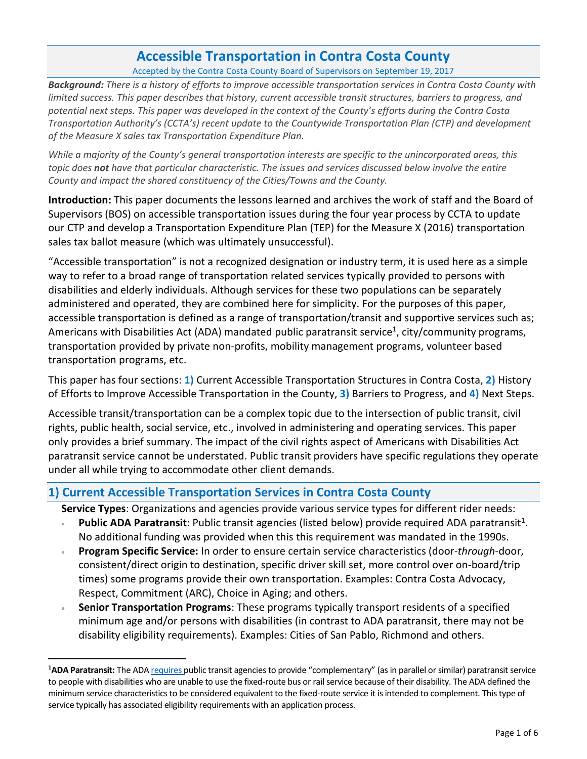# **Accessible Transportation in Contra Costa County**

Accepted by the Contra Costa County Board of Supervisors on September 19, 2017

*Background: There is a history of efforts to improve accessible transportation services in Contra Costa County with limited success. This paper describes that history, current accessible transit structures, barriers to progress, and potential next steps. This paper was developed in the context of the County's efforts during the Contra Costa Transportation Authority's (CCTA's) recent update to the Countywide Transportation Plan (CTP) and development of the Measure X sales tax Transportation Expenditure Plan.*

*While a majority of the County's general transportation interests are specific to the unincorporated areas, this topic does not have that particular characteristic. The issues and services discussed below involve the entire County and impact the shared constituency of the Cities/Towns and the County.*

**Introduction:** This paper documents the lessons learned and archives the work of staff and the Board of Supervisors (BOS) on accessible transportation issues during the four year process by CCTA to update our CTP and develop a Transportation Expenditure Plan (TEP) for the Measure X (2016) transportation sales tax ballot measure (which was ultimately unsuccessful).

"Accessible transportation" is not a recognized designation or industry term, it is used here as a simple way to refer to a broad range of transportation related services typically provided to persons with disabilities and elderly individuals. Although services for these two populations can be separately administered and operated, they are combined here for simplicity. For the purposes of this paper, accessible transportation is defined as a range of transportation/transit and supportive services such as; Americans with Disabilities Act (ADA) mandated public paratransit service<sup>1</sup>, city/community programs, transportation provided by private non-profits, mobility management programs, volunteer based transportation programs, etc.

<span id="page-0-0"></span>This paper has four sections: **1)** Current Accessible Transportation Structures in Contra Costa, **2)** History of Efforts to Improve Accessible Transportation in the County, **3)** Barriers to Progress, and **4)** Next Steps.

Accessible transit/transportation can be a complex topic due to the intersection of public transit, civil rights, public health, social service, etc., involved in administering and operating services. This paper only provides a brief summary. The impact of the civil rights aspect of Americans with Disabilities Act paratransit service cannot be understated. Public transit providers have specific regulations they operate under all while trying to accommodate other client demands.

### **1) Current Accessible Transportation Services in Contra Costa County**

 $\overline{a}$ 

**Service Types**: Organizations and agencies provide various service types for different rider needs:

- **Public ADA Paratransit**: Public transit agencies (listed below) provide required ADA paratransit<sup>[1](#page-0-0)</sup>. No additional funding was provided when this this requirement was mandated in the 1990s.
- **Program Specific Service:** In order to ensure certain service characteristics (door-*through*-door, consistent/direct origin to destination, specific driver skill set, more control over on-board/trip times) some programs provide their own transportation. Examples: Contra Costa Advocacy, Respect, Commitment (ARC), Choice in Aging; and others.
- **Senior Transportation Programs**: These programs typically transport residents of a specified minimum age and/or persons with disabilities (in contrast to ADA paratransit, there may not be disability eligibility requirements). Examples: Cities of San Pablo, Richmond and others.

**<sup>1</sup>ADA Paratransit:** The AD[A requires](https://www.transit.dot.gov/regulations-and-guidance/civil-rights-ada/part-37-transportation-services-individuals-disabilities) public transit agencies to provide "complementary" (as in parallel or similar) paratransit service to people with disabilities who are unable to use the fixed-route bus or rail service because of their disability. The ADA defined the minimum service characteristics to be considered equivalent to the fixed-route service it is intended to complement. This type of service typically has associated eligibility requirements with an application process.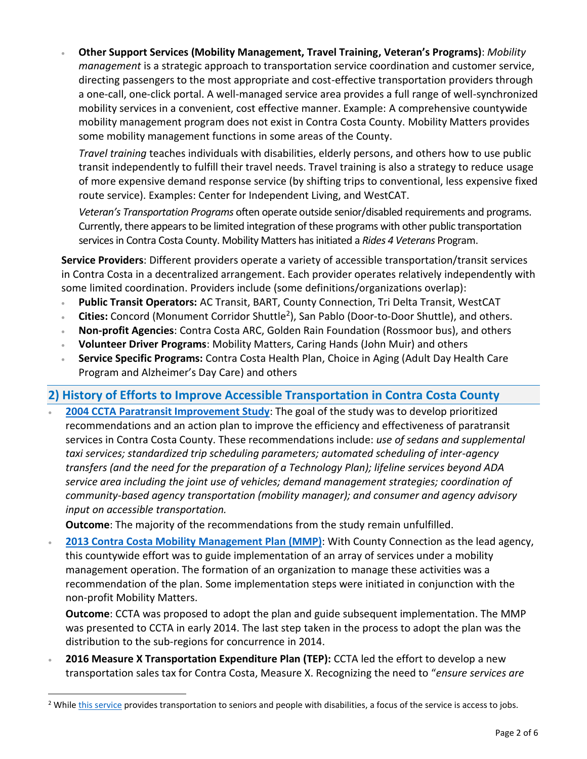**Other Support Services (Mobility Management, Travel Training, Veteran's Programs)**: *Mobility management* is a strategic approach to transportation service coordination and customer service, directing passengers to the most appropriate and cost-effective transportation providers through a one-call, one-click portal. A well-managed service area provides a full range of well-synchronized mobility services in a convenient, cost effective manner. Example: A comprehensive countywide mobility management program does not exist in Contra Costa County. Mobility Matters provides some mobility management functions in some areas of the County.

*Travel training* teaches individuals with disabilities, elderly persons, and others how to use public transit independently to fulfill their travel needs. Travel training is also a strategy to reduce usage of more expensive demand response service (by shifting trips to conventional, less expensive fixed route service). Examples: Center for Independent Living, and WestCAT.

*Veteran's Transportation Programs* often operate outside senior/disabled requirements and programs. Currently, there appears to be limited integration of these programs with other public transportation services in Contra Costa County. Mobility Matters has initiated a *Rides 4 Veterans* Program.

**Service Providers**: Different providers operate a variety of accessible transportation/transit services in Contra Costa in a decentralized arrangement. Each provider operates relatively independently with some limited coordination. Providers include (some definitions/organizations overlap):

- **Public Transit Operators:** AC Transit, BART, County Connection, Tri Delta Transit, WestCAT
- **Cities:** Concord (Monument Corridor Shuttle<sup>2</sup> ), San Pablo (Door-to-Door Shuttle), and others.
- **Non-profit Agencies**: Contra Costa ARC, Golden Rain Foundation (Rossmoor bus), and others
- **Volunteer Driver Programs**: Mobility Matters, Caring Hands (John Muir) and others
- **Service Specific Programs:** Contra Costa Health Plan, Choice in Aging (Adult Day Health Care Program and Alzheimer's Day Care) and others

### **2) History of Efforts to Improve Accessible Transportation in Contra Costa County**

 **[2004 CCTA Paratransit Improvement Study](http://ccta.net/uploads/5297b1a45f045.pdf)**: The goal of the study was to develop prioritized recommendations and an action plan to improve the efficiency and effectiveness of paratransit services in Contra Costa County. These recommendations include: *use of sedans and supplemental taxi services; standardized trip scheduling parameters; automated scheduling of inter-agency transfers (and the need for the preparation of a Technology Plan); lifeline services beyond ADA service area including the joint use of vehicles; demand management strategies; coordination of community-based agency transportation (mobility manager); and consumer and agency advisory input on accessible transportation.*

**Outcome**: The majority of the recommendations from the study remain unfulfilled.

 **[2013 Contra Costa Mobility](https://countyconnection.com/wp-content/uploads/2013/10/7.b.1.-Mobility-Plan.pdf#page=4) Management Plan (MMP)**: With County Connection as the lead agency, this countywide effort was to guide implementation of an array of services under a mobility management operation. The formation of an organization to manage these activities was a recommendation of the plan. Some implementation steps were initiated in conjunction with the non-profit Mobility Matters.

**Outcome**: CCTA was proposed to adopt the plan and guide subsequent implementation. The MMP was presented to CCTA in early 2014. The last step taken in the process to adopt the plan was the distribution to the sub-regions for concurrence in 2014.

 **2016 Measure X Transportation Expenditure Plan (TEP):** CCTA led the effort to develop a new transportation sales tax for Contra Costa, Measure X. Recognizing the need to "*ensure services are* 

 $\overline{a}$ 

<sup>&</sup>lt;sup>2</sup> While [this service](http://monumentimpact.org/programs/resident-engagement/monument-community-shuttle/) provides transportation to seniors and people with disabilities, a focus of the service is access to jobs.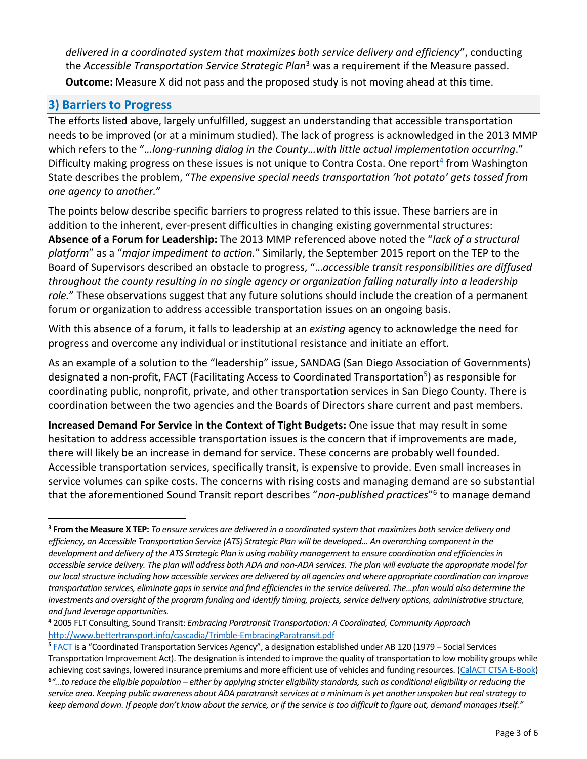<span id="page-2-0"></span>*delivered in a coordinated system that maximizes both service delivery and efficiency*", conducting the *Accessible Transportation Service Strategic Plan*<sup>3</sup> was a requirement if the Measure passed. **Outcome:** Measure X did not pass and the proposed study is not moving ahead at this time.

### **3) Barriers to Progress**

The efforts listed above, largely unfulfilled, suggest an understanding that accessible transportation needs to be improved (or at a minimum studied). The lack of progress is acknowledged in the 2013 MMP which refers to the "*…long-running dialog in the County…with little actual implementation occurring*." Difficulty making progress on these issues is not unique to Contra Costa. One report $4$  from Washington State describes the problem, "*The expensive special needs transportation 'hot potato' gets tossed from one agency to another.*"

The points below describe specific barriers to progress related to this issue. These barriers are in addition to the inherent, ever-present difficulties in changing existing governmental structures: **Absence of a Forum for Leadership:** The 2013 MMP referenced above noted the "*lack of a structural platform*" as a "*major impediment to action.*" Similarly, the September 2015 report on the TEP to the Board of Supervisors described an obstacle to progress, "…*accessible transit responsibilities are diffused throughout the county resulting in no single agency or organization falling naturally into a leadership role.*" These observations suggest that any future solutions should include the creation of a permanent forum or organization to address accessible transportation issues on an ongoing basis.

With this absence of a forum, it falls to leadership at an *existing* agency to acknowledge the need for progress and overcome any individual or institutional resistance and initiate an effort.

As an example of a solution to the "leadership" issue, SANDAG (San Diego Association of Governments) designated a non-profit, FACT (Facilitating Access to Coordinated Transportation<sup>5</sup>) as responsible for coordinating public, nonprofit, private, and other transportation services in San Diego County. There is coordination between the two agencies and the Boards of Directors share current and past members.

**Increased Demand For Service in the Context of Tight Budgets:** One issue that may result in some hesitation to address accessible transportation issues is the concern that if improvements are made, there will likely be an increase in demand for service. These concerns are probably well founded. Accessible transportation services, specifically transit, is expensive to provide. Even small increases in service volumes can spike costs. The concerns with rising costs and managing demand are so substantial that the aforementioned Sound Transit report describes "non-published practices"<sup>6</sup> to manage demand

 $\ddot{\phantom{a}}$ **3 From the Measure X TEP:** *To ensure services are delivered in a coordinated system that maximizes both service delivery and efficiency, an Accessible Transportation Service (ATS) Strategic Plan will be developed… An overarching component in the development and delivery of the ATS Strategic Plan is using mobility management to ensure coordination and efficiencies in accessible service delivery. The plan will address both ADA and non-ADA services. The plan will evaluate the appropriate model for our local structure including how accessible services are delivered by all agencies and where appropriate coordination can improve transportation services, eliminate gaps in service and find efficiencies in the service delivered. The…plan would also determine the investments and oversight of the program funding and identify timing, projects, service delivery options, administrative structure, and fund leverage opportunities.*

**<sup>4</sup>** 2005 FLT Consulting, Sound Transit: *Embracing Paratransit Transportation: A Coordinated, Community Approach* <http://www.bettertransport.info/cascadia/Trimble-EmbracingParatransit.pdf>

**<sup>5</sup>** [FACT](http://www.factsd.org/) is a "Coordinated Transportation Services Agency", a designation established under AB 120 (1979 – Social Services Transportation Improvement Act). The designation is intended to improve the quality of transportation to low mobility groups while achieving cost savings, lowered insurance premiums and more efficient use of vehicles and funding resources. [\(CalACT CTSA E-Book\)](https://www.calact.org/ctsaebook) **6** *"…to reduce the eligible population – either by applying stricter eligibility standards, such as conditional eligibility or reducing the service area. Keeping public awareness about ADA paratransit services at a minimum is yet another unspoken but real strategy to* 

*keep demand down. If people don't know about the service, or if the service is too difficult to figure out, demand manages itself."*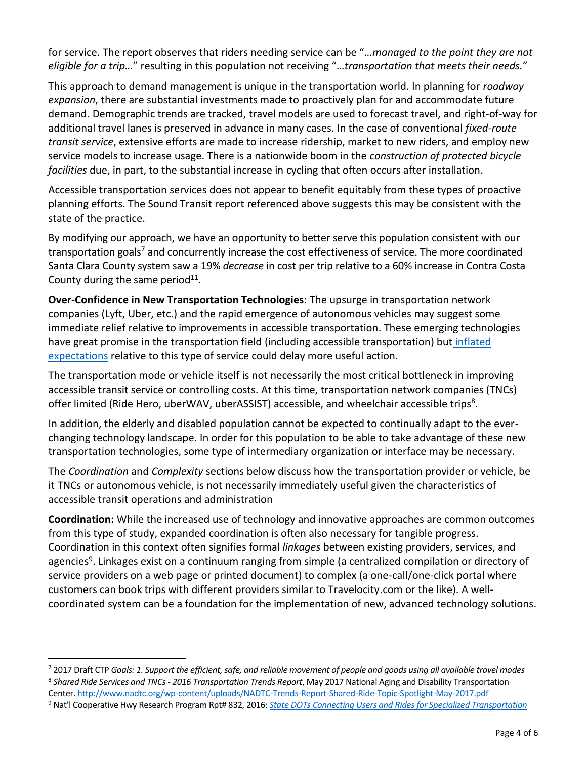for service. The report observes that riders needing service can be "…*managed to the point they are not eligible for a trip…*" resulting in this population not receiving "…*transportation that meets their needs.*"

This approach to demand management is unique in the transportation world. In planning for *roadway expansion*, there are substantial investments made to proactively plan for and accommodate future demand. Demographic trends are tracked, travel models are used to forecast travel, and right-of-way for additional travel lanes is preserved in advance in many cases. In the case of conventional *fixed-route transit service*, extensive efforts are made to increase ridership, market to new riders, and employ new service models to increase usage. There is a nationwide boom in the *construction of protected bicycle facilities* due, in part, to the substantial increase in cycling that often occurs after installation.

Accessible transportation services does not appear to benefit equitably from these types of proactive planning efforts. The Sound Transit report referenced above suggests this may be consistent with the state of the practice.

By modifying our approach, we have an opportunity to better serve this population consistent with our transportation goals<sup>7</sup> and concurrently increase the cost effectiveness of service. The more coordinated Santa Clara County system saw a 19% *decrease* in cost per trip relative to a 60% increase in Contra Costa County during the same period $^{11}$  $^{11}$  $^{11}$ .

**Over-Confidence in New Transportation Technologies**: The upsurge in transportation network companies (Lyft, Uber, etc.) and the rapid emergence of autonomous vehicles may suggest some immediate relief relative to improvements in accessible transportation. These emerging technologies have great promise in the transportation field (including accessible transportation) but inflated [expectations](http://blogs.gartner.com/smarterwithgartner/files/2015/10/EmergingTech_Graphic.png) relative to this type of service could delay more useful action.

The transportation mode or vehicle itself is not necessarily the most critical bottleneck in improving accessible transit service or controlling costs. At this time, transportation network companies (TNCs) offer limited (Ride Hero, uberWAV, uberASSIST) accessible, and wheelchair accessible trips<sup>8</sup>.

In addition, the elderly and disabled population cannot be expected to continually adapt to the everchanging technology landscape. In order for this population to be able to take advantage of these new transportation technologies, some type of intermediary organization or interface may be necessary.

The *Coordination* and *Complexity* sections below discuss how the transportation provider or vehicle, be it TNCs or autonomous vehicle, is not necessarily immediately useful given the characteristics of accessible transit operations and administration

**Coordination:** While the increased use of technology and innovative approaches are common outcomes from this type of study, expanded coordination is often also necessary for tangible progress. Coordination in this context often signifies formal *linkages* between existing providers, services, and agencies<sup>9</sup>. Linkages exist on a continuum ranging from simple (a centralized compilation or directory of service providers on a web page or printed document) to complex (a one-call/one-click portal where customers can book trips with different providers similar to Travelocity.com or the like). A wellcoordinated system can be a foundation for the implementation of new, advanced technology solutions.

 $\overline{a}$ 

<sup>7</sup> 2017 Draft CTP *Goals: 1. Support the efficient, safe, and reliable movement of people and goods using all available travel modes* 8 *Shared Ride Services and TNCs- 2016 Transportation Trends Report*, May 2017 National Aging and Disability Transportation Center[. http://www.nadtc.org/wp-content/uploads/NADTC-Trends-Report-Shared-Ride-Topic-Spotlight-May-2017.pdf](http://www.nadtc.org/wp-content/uploads/NADTC-Trends-Report-Shared-Ride-Topic-Spotlight-May-2017.pdf)

<sup>9</sup> Nat'l Cooperative Hwy Research Program Rpt# 832, 2016: *[State DOTs Connecting Users and Rides for Specialized Transportation](http://www.nadtc.org/wp-content/uploads/State-DOTs-connecting-Users-and-Rides-for-Specialized-Transportation-TCRP-832-volume-1.pdf)*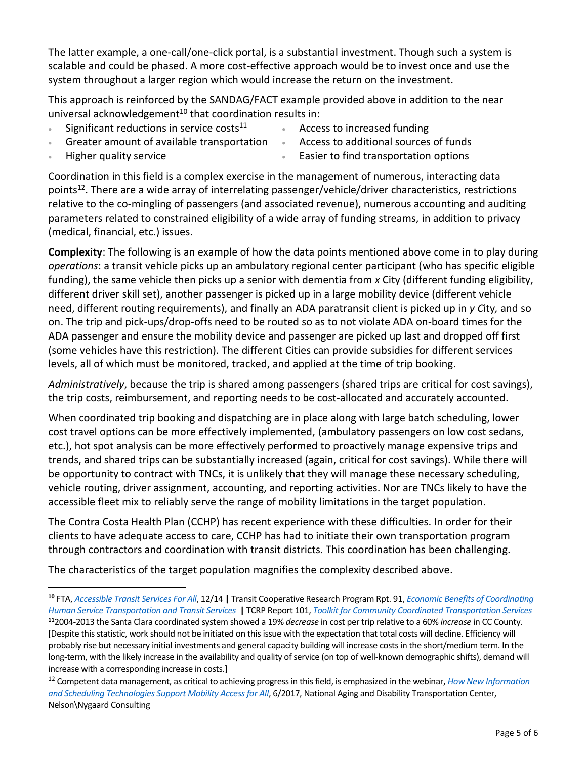The latter example, a one-call/one-click portal, is a substantial investment. Though such a system is scalable and could be phased. A more cost-effective approach would be to invest once and use the system throughout a larger region which would increase the return on the investment.

This approach is reinforced by the SANDAG/FACT example provided above in addition to the near universal acknowledgement $10$  that coordination results in:

- Significant reductions in service costs<sup>11</sup>
- <span id="page-4-0"></span>Access to increased funding
- Greater amount of available transportation
	- Access to additional sources of funds

Higher quality service

 $\overline{a}$ 

Easier to find transportation options

Coordination in this field is a complex exercise in the management of numerous, interacting data points<sup>12</sup>. There are a wide array of interrelating passenger/vehicle/driver characteristics, restrictions relative to the co-mingling of passengers (and associated revenue), numerous accounting and auditing parameters related to constrained eligibility of a wide array of funding streams, in addition to privacy (medical, financial, etc.) issues.

**Complexity**: The following is an example of how the data points mentioned above come in to play during *operations*: a transit vehicle picks up an ambulatory regional center participant (who has specific eligible funding), the same vehicle then picks up a senior with dementia from *x* City (different funding eligibility, different driver skill set), another passenger is picked up in a large mobility device (different vehicle need, different routing requirements), and finally an ADA paratransit client is picked up in *y C*ity*,* and so on. The trip and pick-ups/drop-offs need to be routed so as to not violate ADA on-board times for the ADA passenger and ensure the mobility device and passenger are picked up last and dropped off first (some vehicles have this restriction). The different Cities can provide subsidies for different services levels, all of which must be monitored, tracked, and applied at the time of trip booking.

*Administratively*, because the trip is shared among passengers (shared trips are critical for cost savings), the trip costs, reimbursement, and reporting needs to be cost-allocated and accurately accounted.

When coordinated trip booking and dispatching are in place along with large batch scheduling, lower cost travel options can be more effectively implemented, (ambulatory passengers on low cost sedans, etc.), hot spot analysis can be more effectively performed to proactively manage expensive trips and trends, and shared trips can be substantially increased (again, critical for cost savings). While there will be opportunity to contract with TNCs, it is unlikely that they will manage these necessary scheduling, vehicle routing, driver assignment, accounting, and reporting activities. Nor are TNCs likely to have the accessible fleet mix to reliably serve the range of mobility limitations in the target population.

The Contra Costa Health Plan (CCHP) has recent experience with these difficulties. In order for their clients to have adequate access to care, CCHP has had to initiate their own transportation program through contractors and coordination with transit districts. This coordination has been challenging.

The characteristics of the target population magnifies the complexity described above.

**<sup>10</sup>** FTA, *[Accessible Transit Services For All](https://www.transit.dot.gov/sites/fta.dot.gov/files/FTA_Report_No._0081.pdf)*, 12/14 **|** Transit Cooperative Research Program Rpt. 91, *[Economic Benefits of Coordinating](http://onlinepubs.trb.org/onlinepubs/tcrp/tcrp_rpt_91.pdf)  [Human Service Transportation and Transit Services](http://onlinepubs.trb.org/onlinepubs/tcrp/tcrp_rpt_91.pdf)* **|** TCRP Report 101, *[Toolkit for Community Coordinated Transportation Services](http://onlinepubs.trb.org/onlinepubs/tcrp/tcrp_rpt_101.pdf)* **<sup>11</sup>**2004-2013 the Santa Clara coordinated system showed a 19% *decrease* in cost per trip relative to a 60% *increase* in CC County. [Despite this statistic, work should not be initiated on this issue with the expectation that total costs will decline. Efficiency will probably rise but necessary initial investments and general capacity building will increase costs in the short/medium term. In the long-term, with the likely increase in the availability and quality of service (on top of well-known demographic shifts), demand will increase with a corresponding increase in costs.]

<sup>12</sup> Competent data management, as critical to achieving progress in this field, is emphasized in the webinar, *[How New Information](http://www.nadtc.org/resources-publications/how-new-information-and-scheduling-technologies-support-mobility-access-for-all/)  [and Scheduling Technologies Support Mobility Access for All](http://www.nadtc.org/resources-publications/how-new-information-and-scheduling-technologies-support-mobility-access-for-all/)*, 6/2017, National Aging and Disability Transportation Center, Nelson\Nygaard Consulting